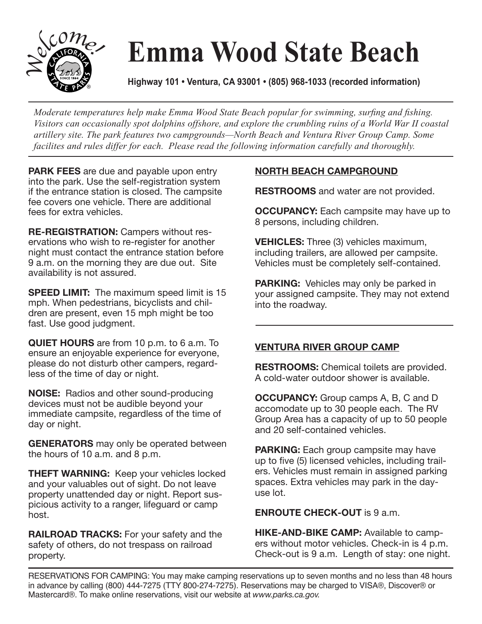

## **Emma Wood State Beach**

**Highway 101 • Ventura, CA 93001 • (805) 968-1033 (recorded information)**

*Moderate temperatures help make Emma Wood State Beach popular for swimming, surfing and fishing. Visitors can occasionally spot dolphins offshore, and explore the crumbling ruins of a World War II coastal artillery site. The park features two campgrounds—North Beach and Ventura River Group Camp. Some facilites and rules differ for each. Please read the following information carefully and thoroughly.*

**PARK FEES** are due and payable upon entry into the park. Use the self-registration system if the entrance station is closed. The campsite fee covers one vehicle. There are additional fees for extra vehicles.

**RE-REGISTRATION:** Campers without reservations who wish to re-register for another night must contact the entrance station before 9 a.m. on the morning they are due out. Site availability is not assured.

**SPEED LIMIT:** The maximum speed limit is 15 mph. When pedestrians, bicyclists and children are present, even 15 mph might be too fast. Use good judgment.

**QUIET HOURS** are from 10 p.m. to 6 a.m. To ensure an enjoyable experience for everyone, please do not disturb other campers, regardless of the time of day or night.

**NOISE:** Radios and other sound-producing devices must not be audible beyond your immediate campsite, regardless of the time of day or night.

**GENERATORS** may only be operated between the hours of 10 a.m. and 8 p.m.

**THEFT WARNING:** Keep your vehicles locked and your valuables out of sight. Do not leave property unattended day or night. Report suspicious activity to a ranger, lifeguard or camp host.

**RAILROAD TRACKS:** For your safety and the safety of others, do not trespass on railroad property.

## **NORTH BEACH CAMPGROUND**

**RESTROOMS** and water are not provided.

**OCCUPANCY:** Each campsite may have up to 8 persons, including children.

**VEHICLES:** Three (3) vehicles maximum, including trailers, are allowed per campsite. Vehicles must be completely self-contained.

**PARKING:** Vehicles may only be parked in your assigned campsite. They may not extend into the roadway.

## **VENTURA RIVER GROUP CAMP**

**RESTROOMS:** Chemical toilets are provided. A cold-water outdoor shower is available.

**OCCUPANCY:** Group camps A, B, C and D accomodate up to 30 people each. The RV Group Area has a capacity of up to 50 people and 20 self-contained vehicles.

**PARKING:** Each group campsite may have up to five (5) licensed vehicles, including trailers. Vehicles must remain in assigned parking spaces. Extra vehicles may park in the dayuse lot.

**ENROUTE CHECK-OUT** is 9 a.m.

**HIKE-AND-BIKE CAMP:** Available to campers without motor vehicles. Check-in is 4 p.m. Check-out is 9 a.m. Length of stay: one night.

RESERVATIONS FOR CAMPING: You may make camping reservations up to seven months and no less than 48 hours in advance by calling (800) 444-7275 (TTY 800-274-7275). Reservations may be charged to VISA®, Discover® or Mastercard®. To make online reservations, visit our website at *www.parks.ca.gov.*